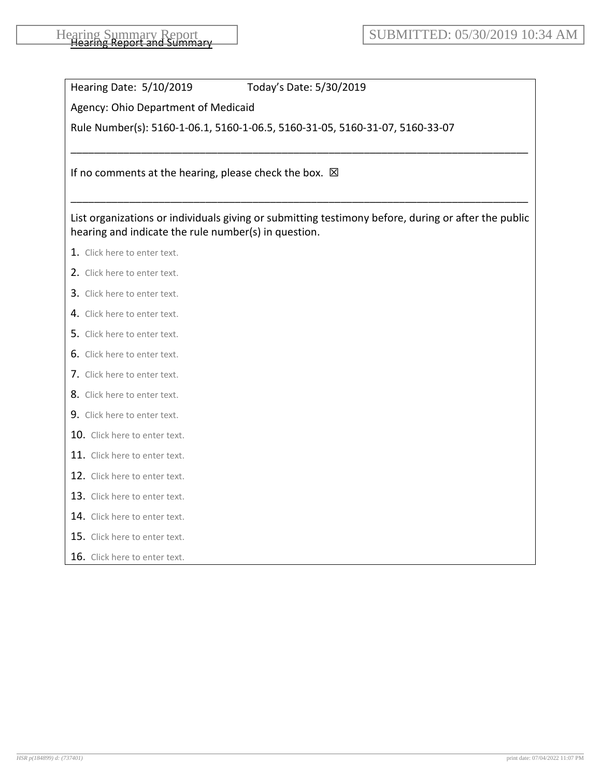Hearing Date: 5/10/2019 Today's Date: 5/30/2019

Agency: Ohio Department of Medicaid

Rule Number(s): 5160-1-06.1, 5160-1-06.5, 5160-31-05, 5160-31-07, 5160-33-07

If no comments at the hearing, please check the box.  $\boxtimes$ 

List organizations or individuals giving or submitting testimony before, during or after the public hearing and indicate the rule number(s) in question.

\_\_\_\_\_\_\_\_\_\_\_\_\_\_\_\_\_\_\_\_\_\_\_\_\_\_\_\_\_\_\_\_\_\_\_\_\_\_\_\_\_\_\_\_\_\_\_\_\_\_\_\_\_\_\_\_\_\_\_\_\_\_\_\_\_\_\_\_\_\_\_\_\_\_\_\_\_\_

\_\_\_\_\_\_\_\_\_\_\_\_\_\_\_\_\_\_\_\_\_\_\_\_\_\_\_\_\_\_\_\_\_\_\_\_\_\_\_\_\_\_\_\_\_\_\_\_\_\_\_\_\_\_\_\_\_\_\_\_\_\_\_\_\_\_\_\_\_\_\_\_\_\_\_\_\_\_

- 1. Click here to enter text.
- 2. Click here to enter text.
- 3. Click here to enter text.
- 4. Click here to enter text.
- 5. Click here to enter text.
- 6. Click here to enter text.
- 7. Click here to enter text.
- 8. Click here to enter text.
- 9. Click here to enter text.
- 10. Click here to enter text.
- 11. Click here to enter text.
- 12. Click here to enter text.
- 13. Click here to enter text.
- 14. Click here to enter text.
- 15. Click here to enter text.
- 16. Click here to enter text.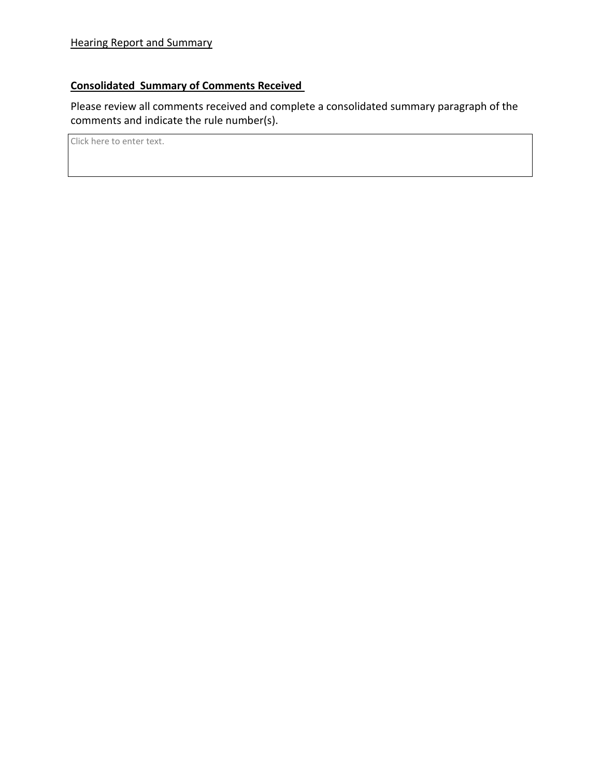## **Consolidated Summary of Comments Received**

Please review all comments received and complete a consolidated summary paragraph of the comments and indicate the rule number(s).

Click here to enter text.